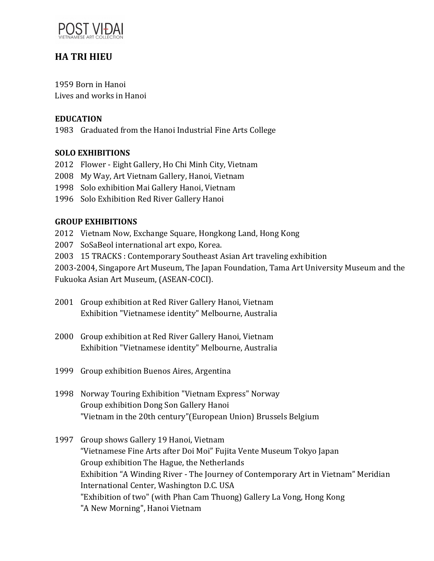

# **HA TRI HIEU**

1959 Born in Hanoi Lives and works in Hanoi

## **EDUCATION**

1983 Graduated from the Hanoi Industrial Fine Arts College

### **SOLO EXHIBITIONS**

- 2012 Flower Eight Gallery, Ho Chi Minh City, Vietnam
- 2008 My Way, Art Vietnam Gallery, Hanoi, Vietnam
- 1998 Solo exhibition Mai Gallery Hanoi, Vietnam
- 1996 Solo Exhibition Red River Gallery Hanoi

#### **GROUP EXHIBITIONS**

- 2012 Vietnam Now, Exchange Square, Hongkong Land, Hong Kong
- 2007 SoSaBeol international art expo, Korea.
- 2003 15 TRACKS: Contemporary Southeast Asian Art traveling exhibition

2003-2004, Singapore Art Museum, The Japan Foundation, Tama Art University Museum and the Fukuoka Asian Art Museum, (ASEAN-COCI).

- 2001 Group exhibition at Red River Gallery Hanoi, Vietnam Exhibition "Vietnamese identity" Melbourne, Australia
- 2000 Group exhibition at Red River Gallery Hanoi, Vietnam Exhibition "Vietnamese identity" Melbourne, Australia
- 1999 Group exhibition Buenos Aires, Argentina
- 1998 Norway Touring Exhibition "Vietnam Express" Norway Group exhibition Dong Son Gallery Hanoi "Vietnam in the 20th century"(European Union) Brussels Belgium
- 1997 Group shows Gallery 19 Hanoi, Vietnam "Vietnamese Fine Arts after Doi Moi" Fujita Vente Museum Tokyo Japan Group exhibition The Hague, the Netherlands Exhibition "A Winding River - The Journey of Contemporary Art in Vietnam" Meridian International Center, Washington D.C. USA "Exhibition of two" (with Phan Cam Thuong) Gallery La Vong, Hong Kong "A New Morning", Hanoi Vietnam